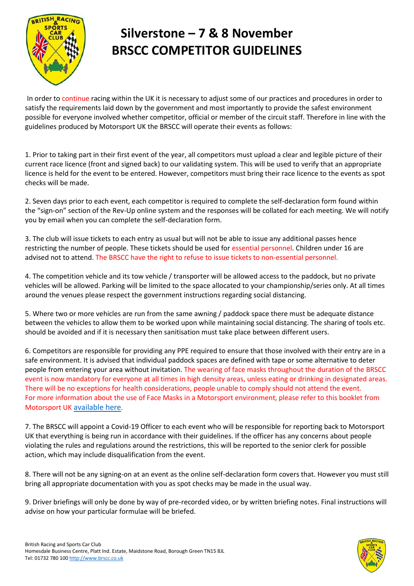

In order to continue racing within the UK it is necessary to adjust some of our practices and procedures in order to satisfy the requirements laid down by the government and most importantly to provide the safest environment possible for everyone involved whether competitor, official or member of the circuit staff. Therefore in line with the guidelines produced by Motorsport UK the BRSCC will operate their events as follows:

1. Prior to taking part in their first event of the year, all competitors must upload a clear and legible picture of their current race licence (front and signed back) to our validating system. This will be used to verify that an appropriate licence is held for the event to be entered. However, competitors must bring their race licence to the events as spot checks will be made.

2. Seven days prior to each event, each competitor is required to complete the self-declaration form found within the "sign-on" section of the Rev-Up online system and the responses will be collated for each meeting. We will notify you by email when you can complete the self-declaration form.

3. The club will issue tickets to each entry as usual but will not be able to issue any additional passes hence restricting the number of people. These tickets should be used for essential personnel. Children under 16 are advised not to attend. The BRSCC have the right to refuse to issue tickets to non-essential personnel.

4. The competition vehicle and its tow vehicle / transporter will be allowed access to the paddock, but no private vehicles will be allowed. Parking will be limited to the space allocated to your championship/series only. At all times around the venues please respect the government instructions regarding social distancing.

5. Where two or more vehicles are run from the same awning / paddock space there must be adequate distance between the vehicles to allow them to be worked upon while maintaining social distancing. The sharing of tools etc. should be avoided and if it is necessary then sanitisation must take place between different users.

6. Competitors are responsible for providing any PPE required to ensure that those involved with their entry are in a safe environment. It is advised that individual paddock spaces are defined with tape or some alternative to deter people from entering your area without invitation. The wearing of face masks throughout the duration of the BRSCC event is now mandatory for everyone at all times in high density areas, unless eating or drinking in designated areas. There will be no exceptions for health considerations, people unable to comply should not attend the event. For more information about the use of Face Masks in a Motorsport environment, please refer to this booklet from Motorsport UK [available here](https://www.motorsportuk.org/wp-content/uploads/2020/09/2020-09-17-Face-mask-and-coverings-guidance-chart.pdf).

7. The BRSCC will appoint a Covid-19 Officer to each event who will be responsible for reporting back to Motorsport UK that everything is being run in accordance with their guidelines. If the officer has any concerns about people violating the rules and regulations around the restrictions, this will be reported to the senior clerk for possible action, which may include disqualification from the event.

8. There will not be any signing-on at an event as the online self-declaration form covers that. However you must still bring all appropriate documentation with you as spot checks may be made in the usual way.

9. Driver briefings will only be done by way of pre-recorded video, or by written briefing notes. Final instructions will advise on how your particular formulae will be briefed.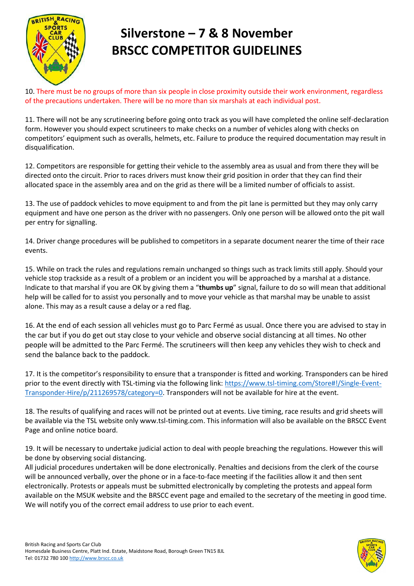

10. There must be no groups of more than six people in close proximity outside their work environment, regardless of the precautions undertaken. There will be no more than six marshals at each individual post.

11. There will not be any scrutineering before going onto track as you will have completed the online self-declaration form. However you should expect scrutineers to make checks on a number of vehicles along with checks on competitors' equipment such as overalls, helmets, etc. Failure to produce the required documentation may result in disqualification.

12. Competitors are responsible for getting their vehicle to the assembly area as usual and from there they will be directed onto the circuit. Prior to races drivers must know their grid position in order that they can find their allocated space in the assembly area and on the grid as there will be a limited number of officials to assist.

13. The use of paddock vehicles to move equipment to and from the pit lane is permitted but they may only carry equipment and have one person as the driver with no passengers. Only one person will be allowed onto the pit wall per entry for signalling.

14. Driver change procedures will be published to competitors in a separate document nearer the time of their race events.

15. While on track the rules and regulations remain unchanged so things such as track limits still apply. Should your vehicle stop trackside as a result of a problem or an incident you will be approached by a marshal at a distance. Indicate to that marshal if you are OK by giving them a "**thumbs up**" signal, failure to do so will mean that additional help will be called for to assist you personally and to move your vehicle as that marshal may be unable to assist alone. This may as a result cause a delay or a red flag.

16. At the end of each session all vehicles must go to Parc Fermé as usual. Once there you are advised to stay in the car but if you do get out stay close to your vehicle and observe social distancing at all times. No other people will be admitted to the Parc Fermé. The scrutineers will then keep any vehicles they wish to check and send the balance back to the paddock.

17. It is the competitor's responsibility to ensure that a transponder is fitted and working. Transponders can be hired prior to the event directly with TSL-timing via the following link: [https://www.tsl-timing.com/Store#!/Single-Event-](https://www.tsl-timing.com/Store#!/Single-Event-Transponder-Hire/p/211269578/category=0)[Transponder-Hire/p/211269578/category=0.](https://www.tsl-timing.com/Store#!/Single-Event-Transponder-Hire/p/211269578/category=0) Transponders will not be available for hire at the event.

18. The results of qualifying and races will not be printed out at events. Live timing, race results and grid sheets will be available via the TSL website only www.tsl-timing.com. This information will also be available on the BRSCC Event Page and online notice board.

19. It will be necessary to undertake judicial action to deal with people breaching the regulations. However this will be done by observing social distancing.

All judicial procedures undertaken will be done electronically. Penalties and decisions from the clerk of the course will be announced verbally, over the phone or in a face-to-face meeting if the facilities allow it and then sent electronically. Protests or appeals must be submitted electronically by completing the protests and appeal form available on the MSUK website and the BRSCC event page and emailed to the secretary of the meeting in good time. We will notify you of the correct email address to use prior to each event.

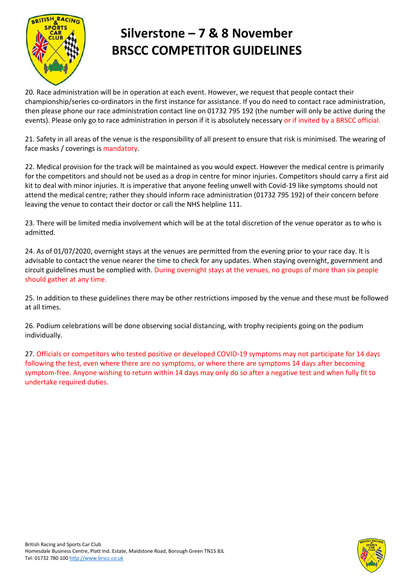

20. Race administration will be in operation at each event. However, we request that people contact their championship/series co-ordinators in the first instance for assistance. If you do need to contact race administration, then please phone our race administration contact line on 01732 795 192 (the number will only be active during the events). Please only go to race administration in person if it is absolutely necessary or if invited by a BRSCC official.

21. Safety in all areas of the venue is the responsibility of all present to ensure that risk is minimised. The wearing of face masks / coverings is mandatory.

22. Medical provision for the track will be maintained as you would expect. However the medical centre is primarily for the competitors and should not be used as a drop in centre for minor injuries. Competitors should carry a first aid kit to deal with minor injuries. It is imperative that anyone feeling unwell with Covid-19 like symptoms should not attend the medical centre; rather they should inform race administration (01732 795 192) of their concern before leaving the venue to contact their doctor or call the NHS helpline 111.

23. There will be limited media involvement which will be at the total discretion of the venue operator as to who is admitted.

24. As of 01/07/2020, overnight stays at the venues are permitted from the evening prior to your race day. It is advisable to contact the venue nearer the time to check for any updates. When staying overnight, government and circuit guidelines must be complied with. During overnight stays at the venues, no groups of more than six people should gather at any time.

25. In addition to these guidelines there may be other restrictions imposed by the venue and these must be followed at all times.

26. Podium celebrations will be done observing social distancing, with trophy recipients going on the podium individually.

27. Officials or competitors who tested positive or developed COVID-19 symptoms may not participate for 14 days following the test, even where there are no symptoms, or where there are symptoms 14 days after becoming symptom-free. Anyone wishing to return within 14 days may only do so after a negative test and when fully fit to undertake required duties.